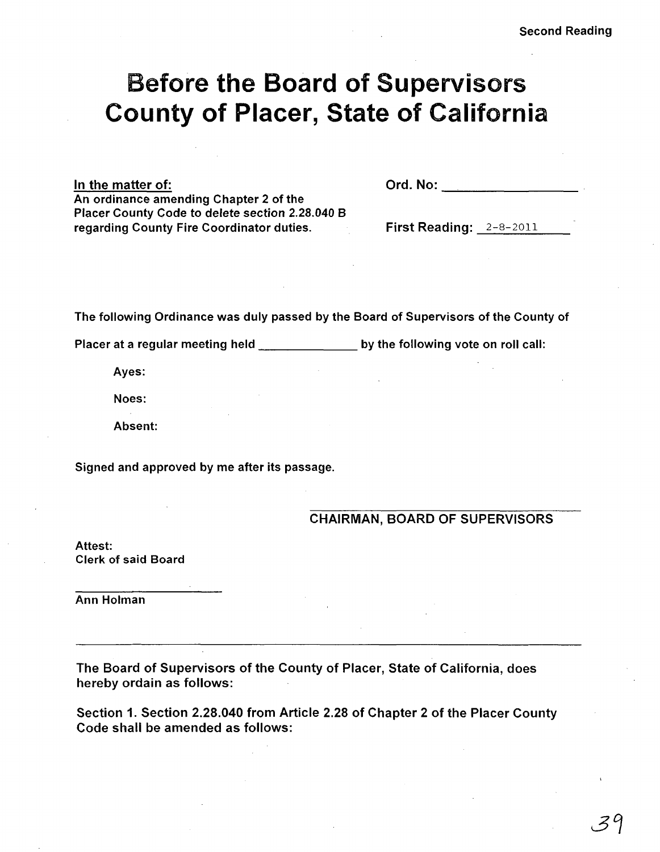# Before the Board of Supervisors County of Placer, State of California

In the matter of:

An ordinance amending Chapter 2 of the Placer County Code to delete section 2.28.040 B regarding County Fire Coordinator duties.

Ord.No: \_\_ ~ \_\_\_\_\_\_\_\_\_\_\_\_ \_

First Reading: 2-8-2011

The following Ordinance was duly passed by the Board of Supervisors of the County of

Placer at a regular meeting held by the following vote on roll call:

Ayes:

Noes:

Absent:

Signed and approved by me after its passage.

CHAIRMAN, BOARD OF SUPERVISORS

Attest: Clerk of said Board

Ann Holman

The Board of Supervisors of the County of Placer, State of California, does hereby ordain as follows:

Section 1. Section 2.28.040 from Article 2.28 of Chapter 2 of the Placer County Code shall be amended as follows: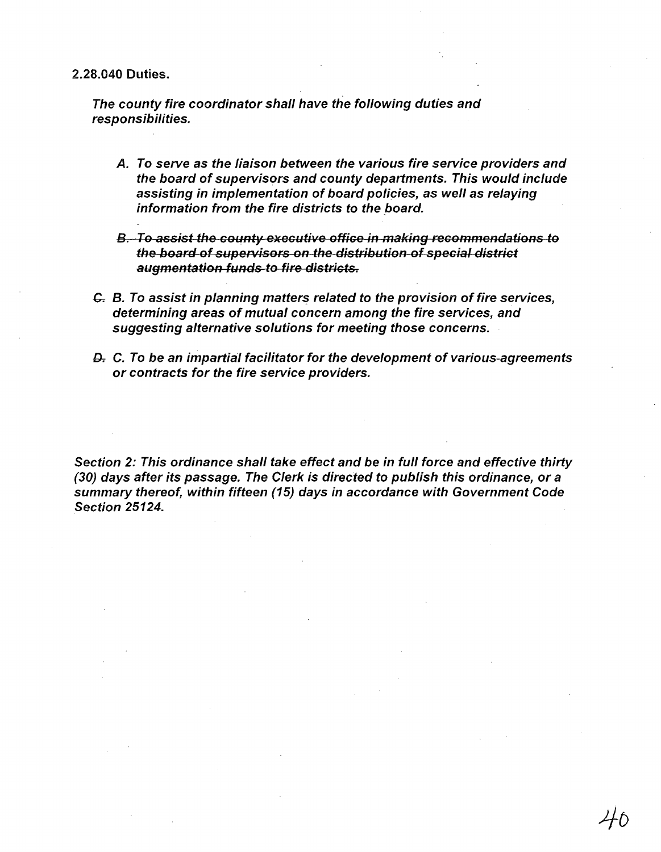2.28.040 Duties.

The county fire coordinator shall have the following duties and responsibilities.

- A. To serve as the liaison between the various fire service providers and the board of supervisors and county departments. This would include assisting in implementation of board policies, as well as relaying information from the fire districts to the board.
- B. To assist the county executive office in making recommendations to the board of supervisors on the distribution of special district augmentation funds to fire districts.
- $G$ . B. To assist in planning matters related to the provision of fire services, determining areas of mutual concern among the fire services, and suggesting alternative solutions for meeting those concerns.
- D. C. To be an impartial facilitator for the development of various-agreements or contracts for the fire service providers.

Section 2: This ordinance shall take effect and be in full force and effective thirty (30) days after its passage. The Clerk is directed to publish this ordinance, or a summary thereof, within fifteen (15) days in accordance with Government Code Section 25124.